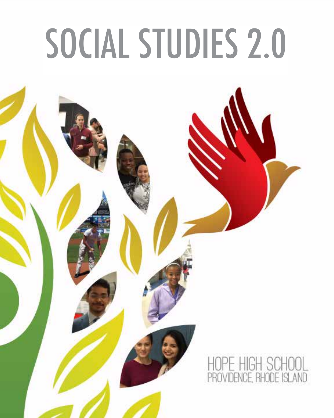# SOCIAL STUDIES 2.0

# ICE, RHODE ISLAND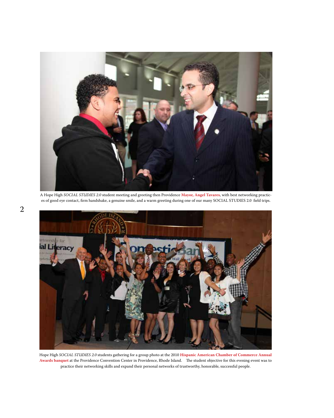

A Hope High *SOCIAL STUDIES 2.0* student meeting and greeting then Providence **Mayor, Angel Tavares**, with best networking practices of good eye contact, firm handshake, a genuine smile, and a warm greeting during one of our many SOCIAL STUDIES 2.0 field trips.



Hope High *SOCIAL STUDIES 2.0* students gathering for a group photo at the 2010 **Hispanic American Chamber of Commerce Annual Awards banquet** at the Providence Convention Center in Providence, Rhode Island. The student objective for this evening event was to practice their networking skills and expand their personal networks of trustworthy, honorable, successful people.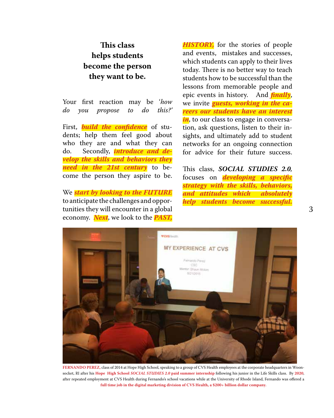# **This class helps students become the person they want to be.**

Your first reaction may be '*how do you propose to do this?'*

First, *build the confidence* of students; help them feel good about who they are and what they can do. Secondly, *introduce and develop the skills and behaviors they need in the 21st century* to become the person they aspire to be.

We *start by looking to the FUTURE*  to anticipate the challenges and opportunities they will encounter in a global economy. *Next*, we look to the *PAST,* 

*HISTORY,* for the stories of people and events, mistakes and successes, which students can apply to their lives today. There is no better way to teach students how to be successful than the lessons from memorable people and epic events in history. And *finally*, we invite *guests, working in the careers our students have an interest in*, to our class to engage in conversation, ask questions, listen to their insights, and ultimately add to student networks for an ongoing connection for advice for their future success.

This class, *SOCIAL STUDIES 2.0,*  focuses on *developing a specific strategy with the skills, behaviors, and attitudes which absolutely help students become successful.* 



**FERNANDO PEREZ,** class of 2014 at Hope High School, speaking to a group of CVS Health employees at the corporate headquarters in Woonsocket, RI after his **Hope High School** *SOCIAL STUDIES 2.0* **paid summer internship** following his junior in the Life Skills class. By **2020**, after repeated employment at CVS Health during Fernando's school vacations while at the University of Rhode Island, Fernando was offered a **full time job in the digital marketing division of CVS Health, a \$200+ billion dollar company.**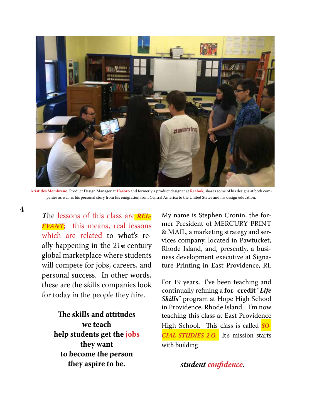

**Aristides Membreno**, Product Design Manager at **Hasbro** and formerly a product designer at **Reebok**, shares some of his designs at both companies as well as his personal story from his emigration from Central America to the United States and his design education.

*T*he lessons of this class are *REL-EVANT*; this means, real lessons which are related to what's really happening in the 21**st** century global marketplace where students will compete for jobs, careers, and personal success. In other words, these are the skills companies look for today in the people they hire.

> **The skills and attitudes we teach help students get the jobs they want to become the person they aspire to be.**

My name is Stephen Cronin, the former President of MERCURY PRINT & MAIL, a marketing strategy and services company, located in Pawtucket, Rhode Island, and, presently, a business development executive at Signature Printing in East Providence, RI.

For 19 years, I've been teaching and continually refining a **for- credit** "*Life Skills*" program at Hope High School in Providence, Rhode Island. I'm now teaching this class at East Providence High School. This class is called *SO-CIAL STUDIES 2.O.* It's mission starts with building

*student confidence.*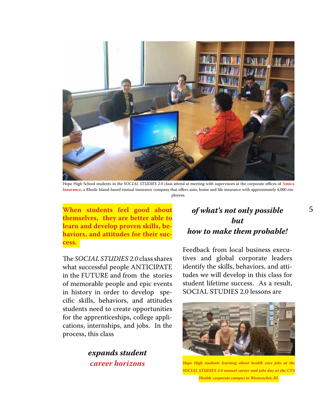

Hope High School students in the *SOCIAL STUDIES 2.0* class attend at meeting with supervisors at the corporate offices of **Amica Insurance**, a Rhode Island-based mutual insurance company that offers auto, home and life insurance with approximately 4,000 employees.

**When students feel good about** 5 *of what's not only possible*  **themselves, they are better able to learn and develop proven skills, behaviors, and attitudes for their success***.* 

The *SOCIAL STUDIES 2.0* class shares what successful people ANTICIPATE in the FUTURE and from the stories of memorable people and epic events in history in order to develop specific skills, behaviors, and attitudes students need to create opportunities for the apprenticeships, college applications, internships, and jobs. In the process, this class

> *expands student career horizons*

# *but how to make them probable!*

Feedback from local business executives and global corporate leaders identify the skills, behaviors, and attitudes we will develop in this class for student lifetime success. As a result, SOCIAL STUDIES 2.0 lessons are



*Hope High students learning about health care jobs at the SOCIAL STUDIES 2.0 annual career and jobs day at the CVS Health corporate campus in Woonsocket, RI.*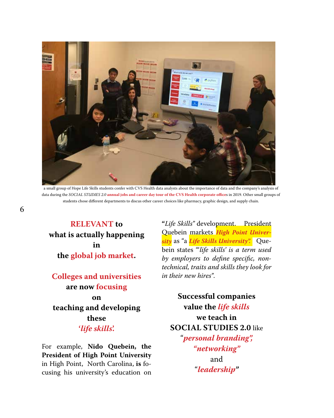

a small group of Hope Life Skills students confer with CVS Health data analysts about the importance of data and the company's analysis of data during the *SOCIAL STUDIES 2.0* **annual jobs and career day tour of the CVS Health corporate office**s in 2019. Other small groups of students chose different departments to discus other career choices like pharmacy, graphic design, and supply chain.

**RELEVANT to what is actually happening in the global job market.** 

**Colleges and universities are now focusing on teaching and developing these '***life skills***'.** 

For example, **Nido Quebein, the President of High Point University**  in High Point, North Carolina, **is** focusing his university's education on

**"***Life Skills"* development.President Quebein markets *High Point University* as "a *Life Skills University".* Quebein states "'*life skills' is a term used by employers to define specific, nontechnical, traits and skills they look for in their new hires"*.

# **Successful companies value the** *life skills* **we teach in SOCIAL STUDIES 2.0** like "*personal branding", "networking"* and "*leadership"*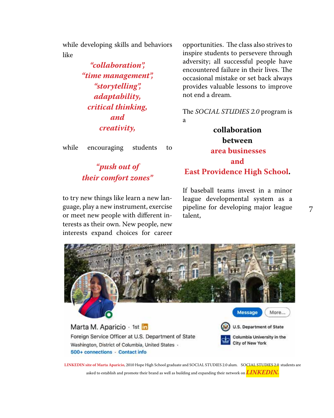while developing skills and behaviors like

> *"collaboration", "time management", "storytelling", adaptability, critical thinking, and creativity,*

while encouraging students to

*"push out of their comfort zones"*

to try new things like learn a new language, play a new instrument, exercise or meet new people with different interests as their own. New people, new interests expand choices for career

opportunities.The class also strives to inspire students to persevere through adversity; all successful people have encountered failure in their lives. The occasional mistake or set back always provides valuable lessons to improve not end a dream.

The *SOCIAL STUDIES 2.0* program is a

**collaboration between area businesses and East Providence High School.** 

If baseball teams invest in a minor league developmental system as a pipeline for developing major league talent,



**LINKEDIN site of Marta Aparicio**, 2010 Hope High School graduate and SOCIAL STUDIES 2.0 alum. SOCIAL STUDIES 2.0 students are asked to establish and promote their brand as well as building and expanding their network on *LINKEDIN.*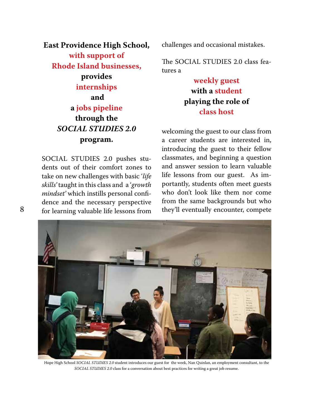# **East Providence High School, with support of Rhode Island businesses, provides internships and a jobs pipeline through the**  *SOCIAL STUDIES 2.0* **program.**

SOCIAL STUDIES 2.0 pushes students out of their comfort zones to take on new challenges with basic '*life skills'* taught in this class and a '*growth mindset'* which instills personal confidence and the necessary perspective for learning valuable life lessons from

challenges and occasional mistakes.

The SOCIAL STUDIES 2.0 class features a

# **weekly guest with a student playing the role of class host**

welcoming the guest to our class from a career students are interested in, introducing the guest to their fellow classmates, and beginning a question and answer session to learn valuable life lessons from our guest. As importantly, students often meet guests who don't look like them nor come from the same backgrounds but who they'll eventually encounter, compete



Hope High School *SOCIAL STUDIES 2.0* student introduces our guest for the week, Nan Quinlan, an employment consultant, to the *SOCIAL STUDIES 2.0* class for a conversation about best practices for writing a great job resume.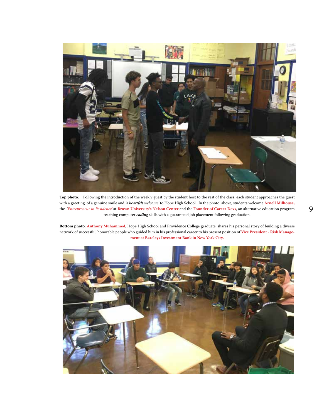

**Top photo**: Following the introduction of the weekly guest by the student host to the rest of the class, each student approaches the guest with a greeting of a genuine smile and *'a heartfelt welcome'* to Hope High School. In the photo above, students welcome **Arnell Milhouse,** the '*Entrepreneur in Residence'* at **Brown University's Nelson Center** and the **Founder of Career Devs**, an alternative education program teaching computer *coding* skills with a guaranteed job placement following graduation.

**Bottom photo**: **Anthony Muhammed**, Hope High School and Providence College graduate, shares his personal story of building a diverse network of successful, honorable people who guided him in his professional career to his present position of **Vice President - Risk Management at Barclays Investment Bank in New York City.** 

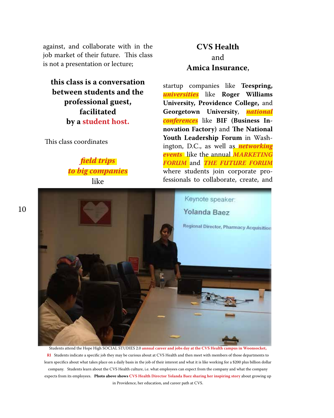against, and collaborate with in the job market of their future. This class is not a presentation or lecture;

**this class is a conversation between students and the professional guest, facilitated by a student host.**

This class coordinates

*field trips to big companies* like

# **CVS Health** and **Amica Insurance**,

startup companies like **Teespring,**  *universities* like **Roger Williams University, Providence College,** and **Georgetown University**, *national conferences* like **BIF (Business Innovation Factory)** and **The National Youth Leadership Forum** in Washington, D.C., as well as *networking events* like the annual *MARKETING FORUM* and *THE FUTURE FORUM*  where students join corporate professionals to collaborate, create, and



Students attend the Hope High SOCIAL STUDIES 2.0 **annual career and jobs day at the CVS Health campus in Woonsocket, RI** Students indicate a specific job they may be curious about at CVS Health and then meet with members of those departments to learn specifics about what takes place on a daily basis in the job of their interest and what it is like working for a \$200 plus billion dollar company. Students learn about the CVS Health culture, i.e. what employees can expect from the company and what the company expects from its employees. **Photo above shows CVS Health Director Yolanda Baez sharing her inspiring story** about growing up in Providence, her education, and career path at CVS.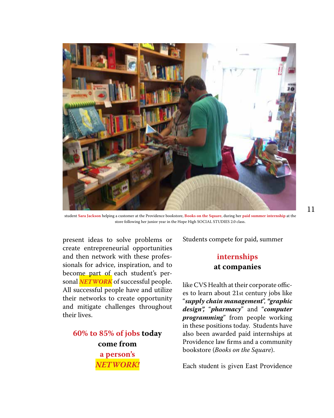

student **Sara Jackson** helping a customer at the Providence bookstore, **Books on the Square**, during her **paid summer internship** at the store following her junior year in the Hope High SOCIAL STUDIES 2.0 class.

present ideas to solve problems or create entrepreneurial opportunities and then network with these professionals for advice, inspiration, and to become part of each student's personal *NETWORK* of successful people. All successful people have and utilize their networks to create opportunity and mitigate challenges throughout their lives.

**60% to 85% of jobs today come from a person's**  *NETWORK!*

Students compete for paid, summer

#### **internships at companies**

like CVS Health at their corporate offices to learn about 21st century jobs like "*supply chain management*", *"graphic design",* "*pharmacy*" and "*computer programming*" from people working in these positions today. Students have also been awarded paid internships at Providence law firms and a community bookstore (*Books on the Square*).

Each student is given East Providence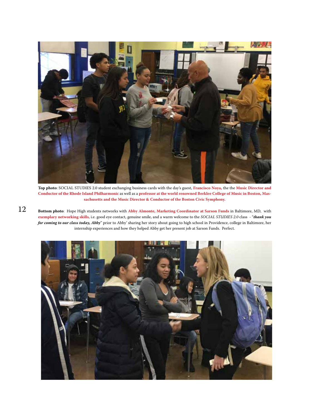

**Top photo**: SOCIAL STUDIES 2.0 student exchanging business cards with the day's guest, **Francisco Noya,** the the **Music Director and Conductor of the Rhode Island Philharmonic** as well as a **professor at the world renowned Berklee College of Music in Boston, Massachusetts and the Music Director & Conductor of the Boston Civic Symphony.** 

**Bottom photo**: Hope High students networks with **Abby Almonte, Marketing Coordinator at Sarson Funds** in Baltimore, MD, with **exemplary networking skills**, i.e. good eye contact, genuine smile, and a warm welcome to the *SOCIAL STUDIES 2.0* class - "*thank you for coming to our class today, Abby*" prior to Abby' sharing her story about going to high school in Providence, college in Baltimore, her internship experiences and how they helped Abby get her present job at Sarson Funds. Perfect.



12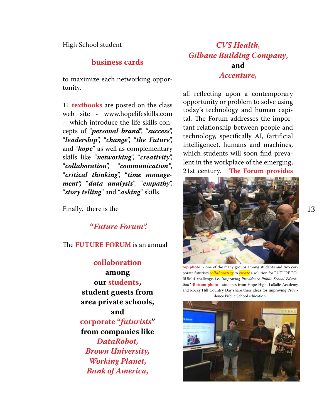High School student

#### **business cards**

to maximize each networking opportunity.

11 **textbooks** are posted on the class web site - www.hopelifeskills.com - which introduce the life skills concepts of "*personal brand*", "*success*", "*leadership*", "*change*", "*the Future*", and "*hope*" as well as complementary skills like "*networking*", "*creativity*", "*collaboration*", "*communication"*, "*critical thinking*", "*time management",* "*data analysis*", "*empathy*", "*story telling*" and "*asking*" skills.

Finally, there is the

 **"***Future Forum".*

The **FUTURE FORUM** is an annual

**collaboration among our students, student guests from area private schools, and corporate "***futurists***" from companies like**  *DataRobot, Brown University, Working Planet, Bank of America,* 

# *CVS Health, Gilbane Building Company***, and**  *Accenture,*

all reflecting upon a contemporary opportunity or problem to solve using today's technology and human capital. The Forum addresses the important relationship between people and technology, specifically AI, (artificial intelligence), humans and machines, which students will soon find prevalent in the workplace of the emerging, 21st century. **The Forum provides** 



**top photo** - one of the many groups among students and two corporate futurists *collaborating* to *create* a solution for FUTURE FO-RUM 4 challenge, i.e. "*improving Providence Public School Education"*. **Bottom photo** - students from Hope High, LaSalle Academy and Rocky Hill Country Day share their ideas for improving Providence Public School education.

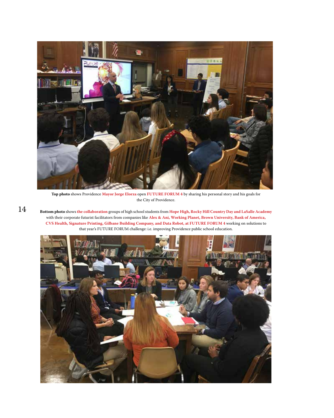

**Top photo** shows Providence **Mayor Jorge Elorza** open **FUTURE FORUM 4** by sharing his personal story and his goals for the City of Providence.

**Bottom photo** shows **the collaboration** groups of high school students from **Hope High, Rocky Hill Country Day and LaSalle Academy**  with their corporate futurist facilitators from companies like **Alex & Ani, Working Planet, Brown University, Bank of America, CVS Health, Signature Printing, Gilbane Building Company, and Data Robot, at FUTURE FORUM 4** working on solutions to that year's FUTURE FORUM challenge: i.e. improving Providence public school education.



14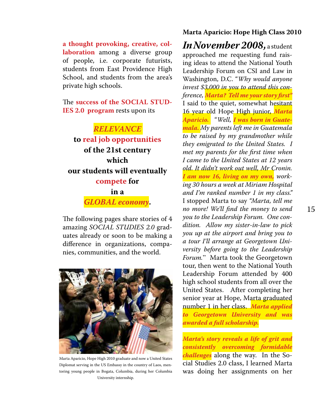**a thought provoking, creative, collaboration** among a diverse group of people, i.e. corporate futurists, students from East Providence High School, and students from the area's private high schools.

The **success of the SOCIAL STUD-IES 2.0 program** rests upon its

#### *RELEVANCE*

**to real job opportunities of the 21st century which our students will eventually compete for in a** *GLOBAL economy***.** 

The following pages share stories of 4 amazing *SOCIAL STUDIES 2.0* graduates already or soon to be making a difference in organizations, companies, communities, and the world.



Marta Aparicio, Hope High 2010 graduate and now a United States Diplomat serving in the US Embassy in the country of Laos, mentoring young people in Bogata, Columbia, during her Columbia University internship.

#### **Marta Aparicio: Hope High Class 2010**

*InNovember 2008,* a student approached me requesting fund raising ideas to attend the National Youth Leadership Forum on CSI and Law in Washington, D.C. "*Why would anyone invest \$3,000 in you to attend this conference, Marta? Tell me your story first"*  I said to the quiet, somewhat hesitant 16 year old Hope High junior, *Marta Aparicio.* "*Well, I was born in Guatemala. My parents left me in Guatemala to be raised by my grandmother while they emigrated to the United States. I met my parents for the first time when I came to the United States at 12 years old. It didn't work out well, Mr Cronin. I am now 16, living on my own, working 30 hours a week at Miriam Hospital and I'm ranked number 1 in my class."*  I stopped Marta to say *"Marta, tell me no more! We'll find the money to send you to the Leadership Forum. One condition. Allow my sister-in-law to pick you up at the airport and bring you to a tour I'll arrange at Georgetown University before going to the Leadership Forum.*" Marta took the Georgetown tour, then went to the National Youth Leadership Forum attended by 400 high school students from all over the United States. After completing her senior year at Hope, Marta graduated number 1 in her class. *Marta applied to Georgetown University and was awarded a full scholarship.*

*Marta's story reveals a life of grit and consistently overcoming formidable challenges* along the way. In the Social Studies 2.0 class, I learned Marta was doing her assignments on her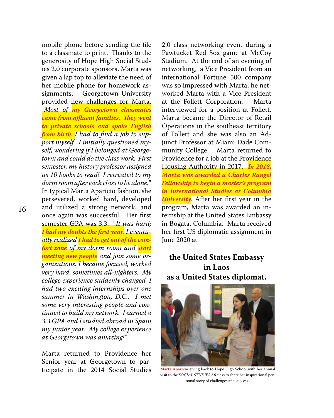mobile phone before sending the file to a classmate to print. Thanks to the generosity of Hope High Social Studies 2.0 corporate sponsors, Marta was given a lap top to alleviate the need of her mobile phone for homework assignments. Georgetown University provided new challenges for Marta. *"Most of my Georgetown classmates came from affluent families. They went to private schools and spoke English from birth. I had to find a job to support myself. I initially questioned myself, wondering if I belonged at Georgetown and could do the class work. First semester, my history professor assigned us 10 books to read! I retreated to my dorm room after each class to be alone.*" In typical Marta Aparicio fashion, she persevered, worked hard, developed and utilized a strong network, and once again was successful. Her first semester GPA was 3.3. "*It was hard; I had my doubts the first year. I eventually realized I had to get out of the comfort zone of my dorm room and start meeting new people and join some organizations. I became focused, worked very hard, sometimes all-nighters. My college experience suddenly changed. I had two exciting internships over one summer in Washington, D.C.. I met some very interesting people and continued to build my network. I earned a 3.3 GPA and I studied abroad in Spain my junior year. My college experience at Georgetown was amazing!"*

Marta returned to Providence her Senior year at Georgetown to participate in the 2014 Social Studies

2.0 class networking event during a Pawtucket Red Sox game at McCoy Stadium. At the end of an evening of networking, a Vice President from an international Fortune 500 company was so impressed with Marta, he networked Marta with a Vice President at the Follett Corporation. Marta interviewed for a position at Follett. Marta became the Director of Retail Operations in the southeast territory of Follett and she was also an Adjunct Professor at Miami Dade Community College. Marta returned to Providence for a job at the Providence Housing Authority in 2017. *In 2018, Marta was awarded a Charles Rangel Fellowship to begin a master's program in International Studies at Columbia University*. After her first year in the program, Marta was awarded an internship at the United States Embassy in Bogata, Columbia. Marta received her first US diplomatic assignment in June 2020 at

#### **the United States Embassy in Laos as a United States diplomat.**



**Marta Aparicio** giving back to Hope High School with her annual visit to the *SOCIAL STUDIES 2.0* class to share her inspirational personal story of challenges and success.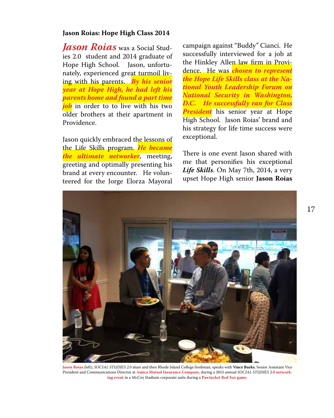#### **Jason Roias: Hope High Class 2014**

*Jason Roias* was a Social Studies 2.0 student and 2014 graduate of Hope High School. Jason, unfortunately, experienced great turmoil living with his parents. *By his senior year at Hope High, he had left his parents home and found a part time job* in order to to live with his two older brothers at their apartment in Providence.

Jason quickly embraced the lessons of the Life Skills program. *He became the ultimate networker*, meeting, greeting and optimally presenting his brand at every encounter. He volunteered for the Jorge Elorza Mayoral

campaign against "Buddy" Cianci. He successfully interviewed for a job at the Hinkley Allen law firm in Providence. He was *chosen to represent the Hope Life Skills class at the National Youth Leadership Forum on National Security in Washington, D.C. He successfully ran for Class President* his senior year at Hope High School. Jason Roias' brand and his strategy for life time success were exceptional.

There is one event Jason shared with me that personifies his exceptional *Life Skills*. On May 7th, 2014, a very upset Hope High senior **Jason Roias**



**Jason Roias** (left), *SOCIAL STUDIES 2.0* alum and then Rhode Island College freshman, speaks with **Vince Burks**, Senior Assistant Vice President and Communications Director at **Amica Mutual Insurance Company**, during a 2015 annual *SOCIAL STUDIES 2.0* **networking event** in a McCoy Stadium corporate suite during a **Pawtucket Red Sox game.**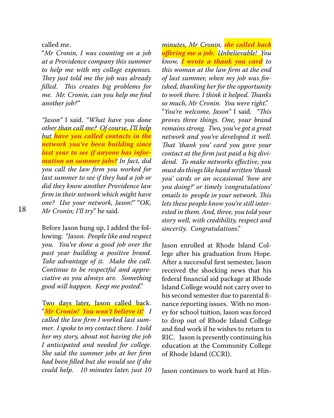called me.

"*Mr Cronin, I was counting on a job at a Providence company this summer to help me with my college expenses. They just told me the job was already filled. This creates big problems for me. Mr. Cronin, can you help me find another job?"*

*"Jason"* I said. *"What have you done other than call me? Of course, I'll help but have you called contacts in the network you've been building since last year to see if anyone has information on summer jobs? In fact, did you call the law firm you worked for last summer to see if they had a job or did they know another Providence law firm in their network which might have one? Use your network, Jason!"* "*OK, Mr Cronin; I'll try*" he said.

Before Jason hung up, I added the following: *"Jason. People like and respect you. You've done a good job over the past year building a positive brand. Take advantage of it. Make the call. Continue to be respectful and appreciative as you always are. Something good will happen. Keep me posted*."

Two days later, Jason called back. "*Mr Cronin! You won't believe it! I called the law firm I worked last summer. I spoke to my contact there. I told her my story, about not having the job I anticipated and needed for college. She said the summer jobs at her firm had been filled but she would see if she could help. 10 minutes later, just 10* 

*minutes, Mr Cronin, she called back offering me a job. Unbelievable! You know, I wrote a thank you card to this woman at the law firm at the end of last summer, when my job was finished, thanking her for the opportunity to work there. I think it helped. Thanks so much, Mr Cronin. You were right*." "*You're welcome, Jason"* I said. *"This proves three things. One, your brand remains strong. Two, you've got a great network and you've developed it well. That 'thank you' card you gave your contact at the firm just paid a big dividend. To make networks effective, you must do things like hand written 'thank you' cards or an occasional 'how are you doing?' or timely 'congratulations' emails to people in your network. This lets these people know you're still interested in them. And, three, you told your story well, with credibility, respect and sincerity. Congratulations*."

Jason enrolled at Rhode Island College after his graduation from Hope. After a successful first semester, Jason received the shocking news that his federal financial aid package at Rhode Island College would not carry over to his second semester due to parental finance reporting issues. With no money for school tuition, Jason was forced to drop out of Rhode Island College and find work if he wishes to return to RIC. Jason is presently continuing his education at the Community College of Rhode Island (CCRI).

Jason continues to work hard at Hin-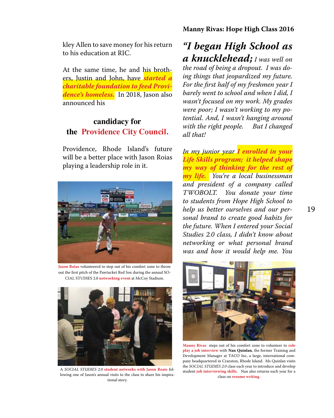kley Allen to save money for his return to his education at RIC.

At the same time, he and his brothers, Justin and John, have *started a charitable foundation to feed Providence's homeless.* In 2018, Jason also announced his

### **candidacy for the Providence City Council.**

Providence, Rhode Island's future will be a better place with Jason Roias playing a leadership role in it.



**Jason Roias** volunteered to step out of his comfort zone to throw out the first pitch of the Pawtucket Red Sox during the annual SO-CIAL STUDIES 2.0 **networking event** at McCoy Stadium.



A *SOCIAL STUDIES 2.0* **student networks with Jason Roais** following one of Jason's annual visits to the class to share his inspirational story.

# *"I began High School as a knucklehead; I was well on*

*the road of being a dropout. I was doing things that jeopardized my future. For the first half of my freshmen year I barely went to school and when I did, I wasn't focused on my work. My grades were poor; I wasn't working to my potential. And, I wasn't hanging around with the right people. But I changed all that!* 

*In my junior year I enrolled in your Life Skills program; it helped shape my way of thinking for the rest of my life. You're a local businessman and president of a company called TWOBOLT. You donate your time to students from Hope High School to help us better ourselves and our personal brand to create good habits for the future. When I entered your Social Studies 2.0 class, I didn't know about networking or what personal brand was and how it would help me. You* 



**Manny Rivas** steps out of his comfort zone to volunteer to **role play a job interview** with **Nan Quinlan**, the former Training and Development Manager at TACO Inc, a large, international company headquartered in Cranston, Rhode Island. Ms Quinlan visits the *SOCIAL STUDIES 2.0* class each year to introduce and develop student **job interviewing skills.** Nan also returns each year for a class on **resume writing.**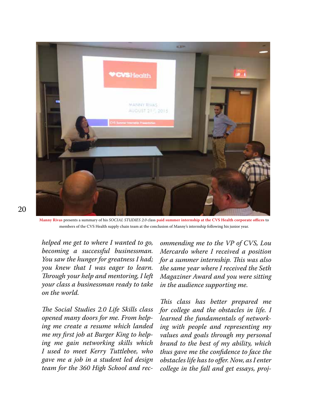

**Manny Rivas** presents a summary of his *SOCIAL STUDIES 2.0* class **paid summer internship at the CVS Health corporate offices** to members of the CVS Health supply chain team at the conclusion of Manny's internship following his junior year.

*helped me get to where I wanted to go, becoming a successful businessman. You saw the hunger for greatness I had; you knew that I was eager to learn. Through your help and mentoring, I left your class a businessman ready to take on the world.*

*The Social Studies 2.0 Life Skills class opened many doors for me. From helping me create a resume which landed me my first job at Burger King to helping me gain networking skills which I used to meet Kerry Tuttlebee, who gave me a job in a student led design team for the 360 High School and rec-*

*ommending me to the VP of CVS, Lou Mercardo where I received a position for a summer internship. This was also the same year where I received the Seth Magaziner Award and you were sitting in the audience supporting me.*

*This class has better prepared me for college and the obstacles in life. I learned the fundamentals of networking with people and representing my values and goals through my personal brand to the best of my ability, which thus gave me the confidence to face the obstacles life has to offer. Now, as I enter college in the fall and get essays, proj-*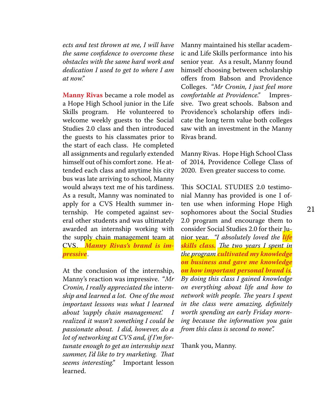*ects and test thrown at me, I will have the same confidence to overcome these obstacles with the same hard work and dedication I used to get to where I am at now."*

**Manny Rivas** became a role model as a Hope High School junior in the Life Skills program. He volunteered to welcome weekly guests to the Social Studies 2.0 class and then introduced the guests to his classmates prior to the start of each class. He completed all assignments and regularly extended himself out of his comfort zone. He attended each class and anytime his city bus was late arriving to school, Manny would always text me of his tardiness. As a result, Manny was nominated to apply for a CVS Health summer internship. He competed against several other students and was ultimately awarded an internship working with the supply chain management team at CVS. *Manny Rivas's brand is impressive*.

At the conclusion of the internship, Manny's reaction was impressive. "*Mr Cronin, I really appreciated the* inte*rnship and learned a lot. One of the most important lessons was what I learned about 'supply chain management'. I realized it wasn't something I could be passionate about. I did, however, do a lot of networking at CVS and, if I'm fortunate enough to get an internship next summer, I'd like to try marketing. That seems interesting."* Important lesson learned.

Manny maintained his stellar academic and Life Skills performance into his senior year. As a result, Manny found himself choosing between scholarship offers from Babson and Providence Colleges. "*Mr Cronin, I just feel more comfortable at Providence."* Impressive. Two great schools. Babson and Providence's scholarship offers indicate the long term value both colleges saw with an investment in the Manny Rivas brand.

Manny Rivas. Hope High School Class of 2014, Providence College Class of 2020. Even greater success to come.

This SOCIAL STUDIES 2.0 testimonial Manny has provided is one I often use when informing Hope High sophomores about the Social Studies 2.0 program and encourage them to consider Social Studies 2.0 for their Junior year. *"I absolutely loved the life skills class. The two years I spent in the program cultivated my knowledge on business and gave me knowledge on how important personal brand is. By doing this class I gained knowledge on everything about life and how to network with people. The years I spent in the class were amazing, definitely worth spending an early Friday morning because the information you gain from this class is second to none".* 

Thank you, Manny.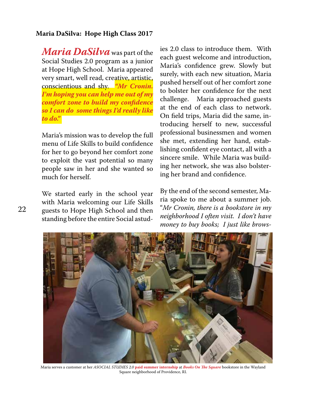#### **Maria DaSilva: Hope High Class 2017**

*Maria DaSilva* was part of the Social Studies 2.0 program as a junior at Hope High School. Maria appeared very smart, well read, creative, artistic, conscientious and shy. *"Mr Cronin. I'm hoping you can help me out of my comfort zone to build my confidence so I can do some things I'd really like to do."* 

Maria's mission was to develop the full menu of Life Skills to build confidence for her to go beyond her comfort zone to exploit the vast potential so many people saw in her and she wanted so much for herself.

We started early in the school year with Maria welcoming our Life Skills guests to Hope High School and then standing before the entire Social astud-

ies 2.0 class to introduce them. With each guest welcome and introduction, Maria's confidence grew. Slowly but surely, with each new situation, Maria pushed herself out of her comfort zone to bolster her confidence for the next challenge. Maria approached guests at the end of each class to network. On field trips, Maria did the same, introducing herself to new, successful professional businessmen and women she met, extending her hand, establishing confident eye contact, all with a sincere smile. While Maria was building her network, she was also bolstering her brand and confidence.

By the end of the second semester, Maria spoke to me about a summer job. "*Mr Cronin, there is a bookstore in my neighborhood I often visit. I don't have money to buy books; I just like brows-*



Maria serves a customer at her *ASOCIAL STUDIES 2.0* **paid summer internship** at *Books On The Square* bookstore in the Wayland Square neighborhood of Providence, RI.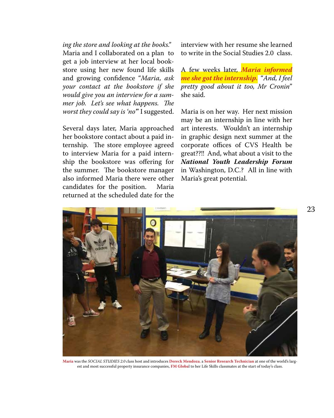*ing the store and looking at the books."* Maria and I collaborated on a plan to get a job interview at her local bookstore using her new found life skills and growing confidence "*Maria, ask your contact at the bookstore if she would give you an interview for a summer job. Let's see what happens. The worst they could say is 'no'*" I suggested.

Several days later, Maria approached her bookstore contact about a paid internship. The store employee agreed to interview Maria for a paid internship the bookstore was offering for the summer. The bookstore manager also informed Maria there were other candidates for the position. Maria returned at the scheduled date for the

interview with her resume she learned to write in the Social Studies 2.0 class.

A few weeks later, *Maria informed me she got the internship.* "*And, I feel pretty good about it too, Mr Cronin*" she said.

Maria is on her way. Her next mission may be an internship in line with her art interests. Wouldn't an internship in graphic design next summer at the corporate offices of CVS Health be great??!! And, what about a visit to the *National Youth Leadership Forum*  in Washington, D.C.? All in line with Maria's great potential.



**Maria** was the *SOCIAL STUDIES 2.0 c*lass host and introduces **Dereck Mendoza**, a **Senior Research Technician** at one of the world's largest and most successful property insurance companies, **FM Globa**l to her Life Skills classmates at the start of today's class.